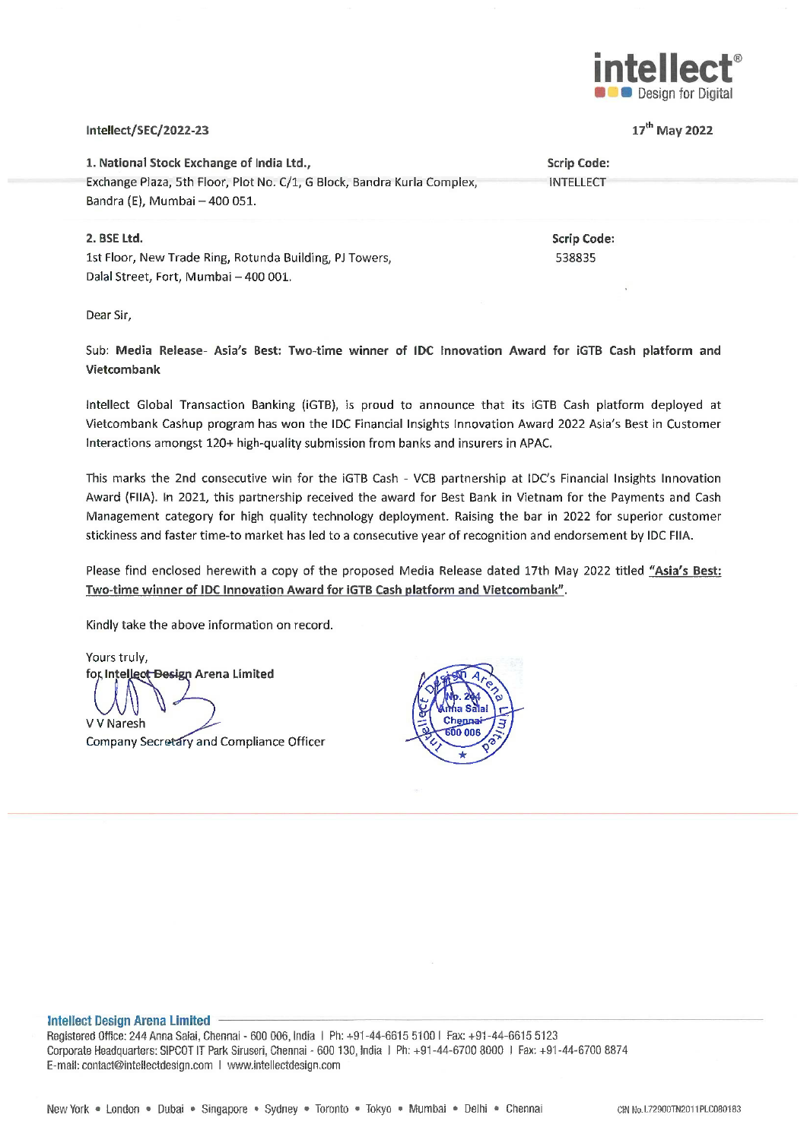

17<sup>th</sup> May 2022

### intellect/SEC/2022-23

1. National Stock Exchange of India Ltd., **Scrip Code:** Exchange Plaza, 5th Floor, Plot No. C/1, G Block, Bandra Kurla Complex, **INTELLECT** Bandra (E), Mumbai - 400 051. 2. BSE Ltd. **Scrip Code:** 1st Floor, New Trade Ring, Rotunda Building, PJ Towers, 538835 Dalal Street, Fort, Mumbai - 400 001.

Dear Sir,

Sub: Media Release- Asia's Best: Two-time winner of IDC Innovation Award for iGTB Cash platform and Vietcombank

Intellect Global Transaction Banking (iGTB), is proud to announce that its iGTB Cash platform deployed at Vietcombank Cashup program has won the IDC Financial Insights Innovation Award 2022 Asia's Best in Customer Interactions amongst 120+ high-quality submission from banks and insurers in APAC.

This marks the 2nd consecutive win for the IGTB Cash - VCB partnership at IDC's Financial Insights Innovation Award (FIIA). In 2021, this partnership received the award for Best Bank in Vietnam for the Payments and Cash Management category for high quality technology deployment. Raising the bar in 2022 for superior customer stickiness and faster time-to market has led to a consecutive year of recognition and endorsement by IDC FIIA.

Please find enclosed herewith a copy of the proposed Media Release dated 17th May 2022 titled "Asia's Best: Two-time winner of IDC Innovation Award for IGTB Cash platform and Vietcombank".

Kindly take the above information on record.

Yours truly, for Intellect Besign Arena Limited **V V Naresh** 

Company Secretary and Compliance Officer



#### **Intellect Design Arena Limited**

Registered Office: 244 Anna Salai, Chennai - 600 006, India | Ph: +91-44-6615 5100 | Fax: +91-44-6615 5123 Corporate Headquarters: SIPCOT IT Park Siruseri, Chennai - 600 130, India 1 Ph: +91-44-6700 8000 1 Fax: +91-44-6700 8874 E-mail: contact@intellectdesign.com | www.intellectdesign.com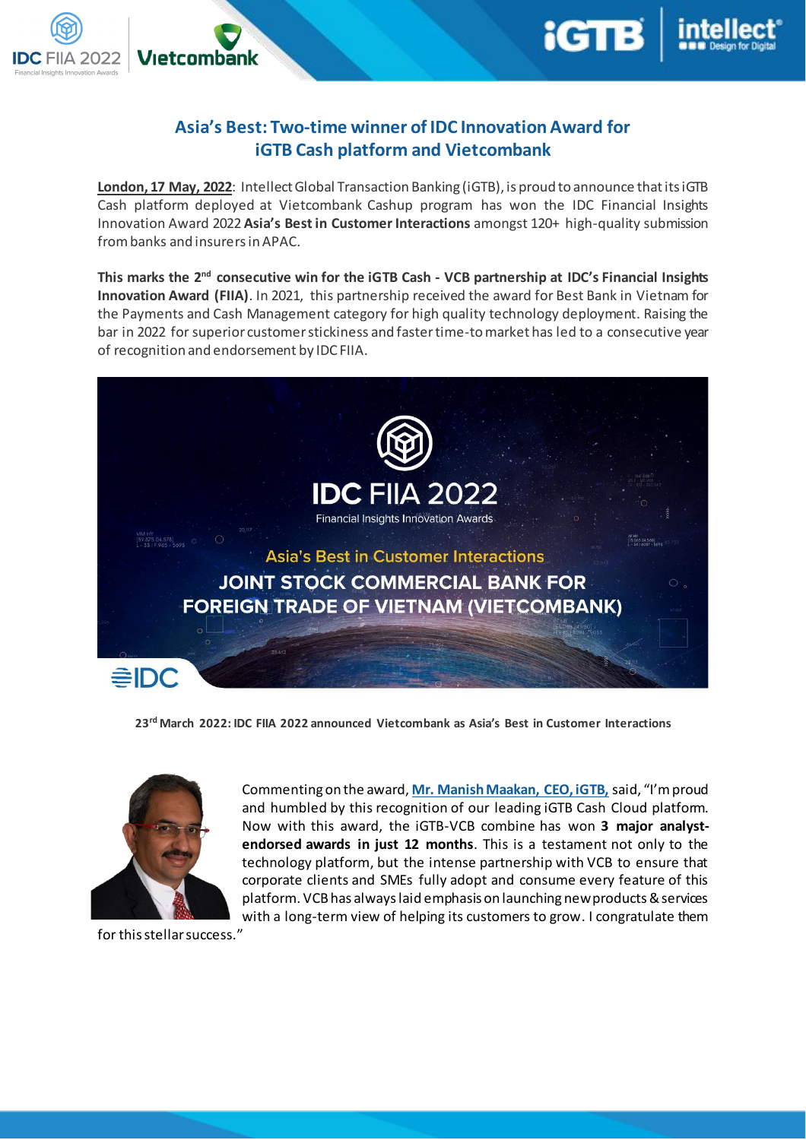

# **Asia's Best: Two-time winner of IDC Innovation Award for iGTB Cash platform and Vietcombank**

**London, 17 May, 2022**: Intellect Global Transaction Banking (iGTB), is proud to announce that its iGTB Cash platform deployed at Vietcombank Cashup program has won the IDC Financial Insights Innovation Award 2022 **Asia's Best in Customer Interactions** amongst 120+ high-quality submission from banks and insurersin APAC.

**This marks the 2nd consecutive win for the iGTB Cash - VCB partnership at IDC's Financial Insights Innovation Award (FIIA)**. In 2021, this partnership received the award for Best Bank in Vietnam for the Payments and Cash Management category for high quality technology deployment. Raising the bar in 2022 for superior customer stickiness and faster time-to market has led to a consecutive year of recognition and endorsement by IDC FIIA.



**23rd March 2022: IDC FIIA 2022 announced Vietcombank as Asia's Best in Customer Interactions**



Vıetcombank

フハフフ

Commenting on the award, **Mr. Manish Maakan, CEO, iGTB,** said, "I'm proud and humbled by this recognition of our leading iGTB Cash Cloud platform. Now with this award, the iGTB-VCB combine has won **3 major analystendorsed awards in just 12 months**. This is a testament not only to the technology platform, but the intense partnership with VCB to ensure that corporate clients and SMEs fully adopt and consume every feature of this platform. VCB has always laid emphasis on launching new products & services with a long-term view of helping its customers to grow. I congratulate them

for this stellar success."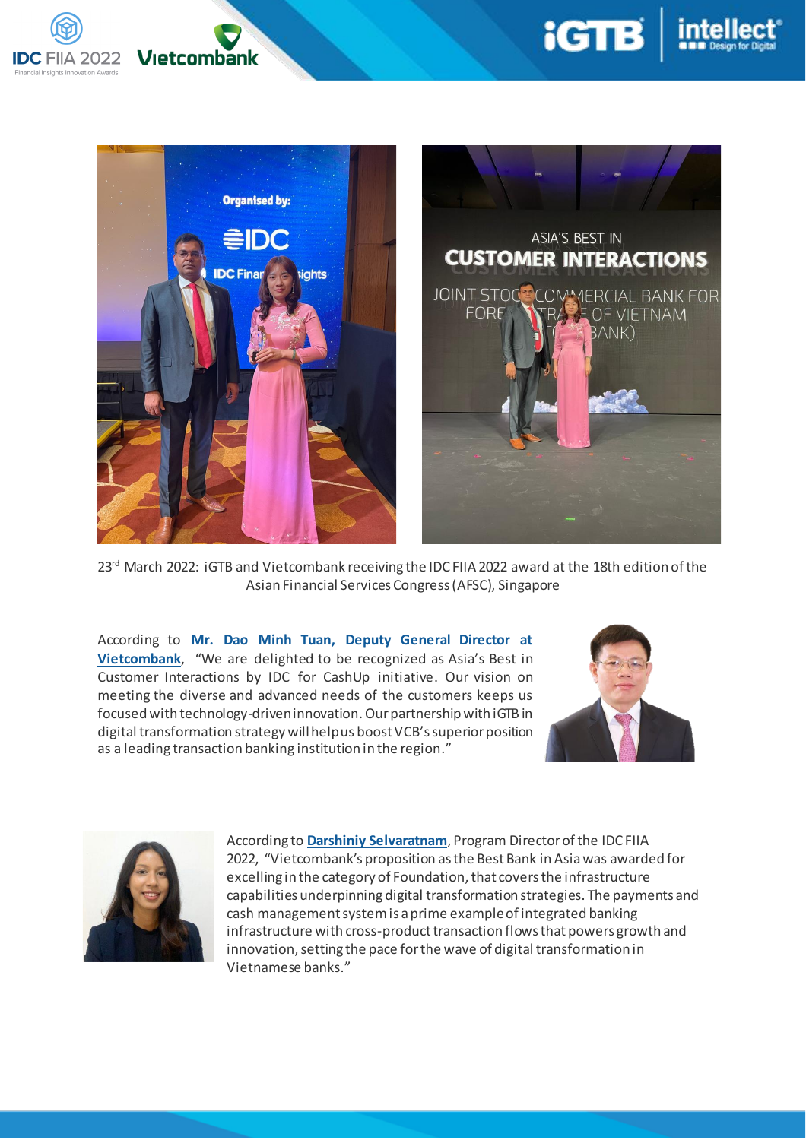



23<sup>rd</sup> March 2022: iGTB and Vietcombank receiving the IDC FIIA 2022 award at the 18th edition of the Asian Financial Services Congress (AFSC), Singapore

According to **Mr. Dao Minh Tuan, Deputy General Director at Vietcombank**, "We are delighted to be recognized as Asia's Best in Customer Interactions by IDC for CashUp initiative. Our vision on meeting the diverse and advanced needs of the customers keeps us focused with technology-driven innovation. Our partnership with iGTB in digital transformation strategy will help us boost VCB's superior position as a leading transaction banking institution in the region."





**Vietcombank** 

**IDC FIIA 2022** 

According to **Darshiniy Selvaratnam**, Program Director of the IDC FIIA 2022, "Vietcombank's proposition as the Best Bank in Asiawas awarded for excelling in the category of Foundation, that covers the infrastructure capabilities underpinning digital transformation strategies. The payments and cash management system is a prime example of integrated banking infrastructure with cross-product transaction flows that powers growth and innovation, setting the pace for the wave of digital transformation in Vietnamese banks."